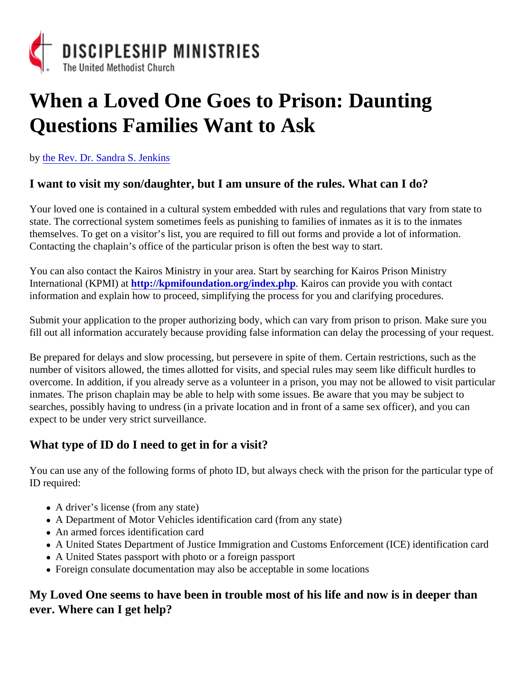## When a Loved One Goes to Prison: Daunting Questions Families Want to Ask

by [the Rev. Dr. Sandra S. Jenk](www.coachingcorner.com)ins

I want to visit my son/daughter, but I am unsure of the rules. What can I do?

Your loved one is contained in a cultural system embedded with rules and regulations that vary from state to state. The correctional system sometimes feels as punishing to families of inmates as it is to the inmates themselves. To get on a visitor's list, you are required to fill out forms and provide a lot of information. Contacting the chaplain's office of the particular prison is often the best way to start.

You can also contact the Kairos Ministry in your area. Start by searching for Kairos Prison Ministry International (KPMI) ahttp://kpmifoundation.org/index.php . Kairos can provide you with contact information and explain how to proceed, simplifying the process for you and clarifying procedures.

Submit your application to the proper authorizing body, which can vary from prison to prison. Make sure you fill out all information accurately because providing false information can delay the processing of your request

Be prepared for delays and slow processing, but persevere in spite of them. Certain restrictions, such as the number of visitors allowed, the times allotted for visits, and special rules may seem like difficult hurdles to overcome. In addition, if you already serve as a volunteer in a prison, you may not be allowed to visit particula inmates. The prison chaplain may be able to help with some issues. Be aware that you may be subject to searches, possibly having to undress (in a private location and in front of a same sex officer), and you can expect to be under very strict surveillance.

What type of ID do I need to get in for a visit?

You can use any of the following forms of photo ID, but always check with the prison for the particular type of ID required:

- A driver's license (from any state)
- A Department of Motor Vehicles identification card (from any state)
- An armed forces identification card
- A United States Department of Justice Immigration and Customs Enforcement (ICE) identification card
- A United States passport with photo or a foreign passport
- Foreign consulate documentation may also be acceptable in some locations

My Loved One seems to have been in trouble most of his life and now is in deeper than ever. Where can I get help?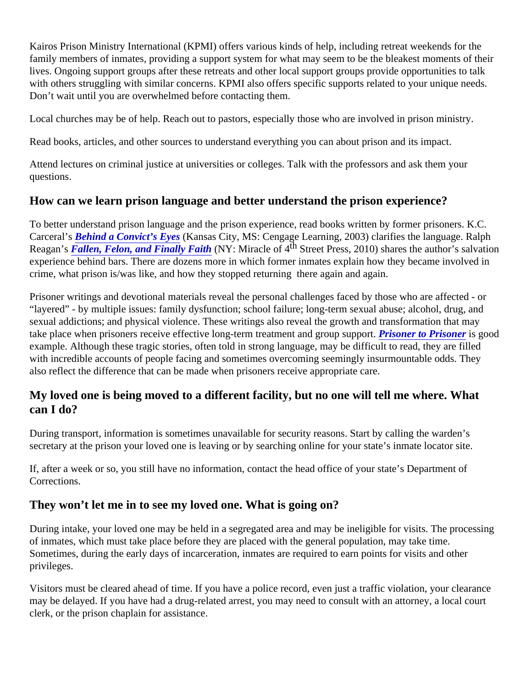Kairos Prison Ministry International (KPMI) offers various kinds of help, including retreat weekends for the family members of inmates, providing a support system for what may seem to be the bleakest moments of the lives. Ongoing support groups after these retreats and other local support groups provide opportunities to talk with others struggling with similar concerns. KPMI also offers specific supports related to your unique needs. Don't wait until you are overwhelmed before contacting them.

Local churches may be of help. Reach out to pastors, especially those who are involved in prison ministry.

Read books, articles, and other sources to understand everything you can about prison and its impact.

Attend lectures on criminal justice at universities or colleges. Talk with the professors and ask them your questions.

How can we learn prison language and better understand the prison experience?

To better understand prison language and the prison experience, read books written by former prisoners. K.C. Carceral'[s Behind a Convict's Eye](https://www.amazon.com/Behind-Convicts-Eyes-Wadsworth-Contemporary/dp/0534635172)t Kansas City, MS: Cengage Learning, 2003) clarifies the language. Ralph Reagan'[s Fallen, Felon, and Finally Faith](https://www.amazon.com/Fallen-Felon-Finally-Faith-Reagan/dp/096727916X)(NY: Miracle of 4<sup>th</sup> Street Press, 2010) shares the author's salvation experience behind bars. There are dozens more in which former inmates explain how they became involved i crime, what prison is/was like, and how they stopped returning there again and again.

Prisoner writings and devotional materials reveal the personal challenges faced by those who are affected - c "layered" - by multiple issues: family dysfunction; school failure; long-term sexual abuse; alcohol, drug, and sexual addictions; and physical violence. These writings also reveal the growth and transformation that may take place when prisoners receive effective long-term treatment and group support to Prisoneris good example. Although these tragic stories, often told in strong language, may be difficult to read, they are filled with incredible accounts of people facing and sometimes overcoming seemingly insurmountable odds. They also reflect the difference that can be made when prisoners receive appropriate care.

My loved one is being moved to a different facility, but no one will tell me where. What can I do?

During transport, information is sometimes unavailable for security reasons. Start by calling the warden's secretary at the prison your loved one is leaving or by searching online for your state's inmate locator site.

If, after a week or so, you still have no information, contact the head office of your state's Department of Corrections.

They won't let me in to see my loved one. What is going on?

During intake, your loved one may be held in a segregated area and may be ineligible for visits. The processi of inmates, which must take place before they are placed with the general population, may take time. Sometimes, during the early days of incarceration, inmates are required to earn points for visits and other privileges.

Visitors must be cleared ahead of time. If you have a police record, even just a traffic violation, your clearance may be delayed. If you have had a drug-related arrest, you may need to consult with an attorney, a local cour clerk, or the prison chaplain for assistance.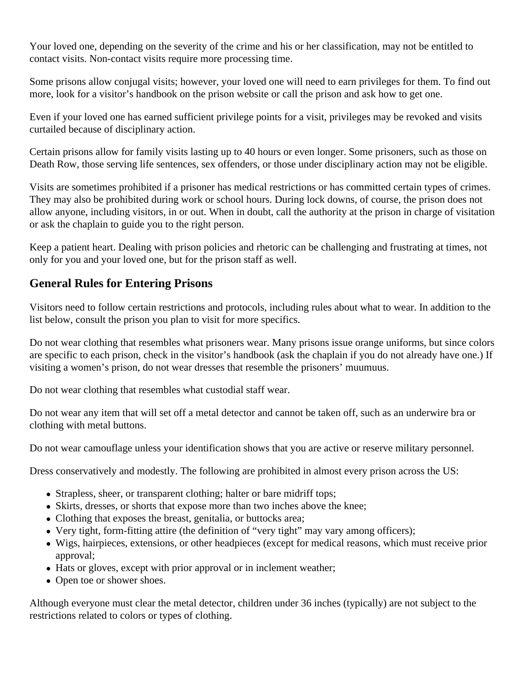Your loved one, depending on the severity of the crime and his or her classification, may not be entitled to contact visits. Non-contact visits require more processing time.

Some prisons allow conjugal visits; however, your loved one will need to earn privileges for them. To find out more, look for a visitor's handbook on the prison website or call the prison and ask how to get one.

Even if your loved one has earned sufficient privilege points for a visit, privileges may be revoked and visits curtailed because of disciplinary action.

Certain prisons allow for family visits lasting up to 40 hours or even longer. Some prisoners, such as those on Death Row, those serving life sentences, sex offenders, or those under disciplinary action may not be eligible.

Visits are sometimes prohibited if a prisoner has medical restrictions or has committed certain types of crimes. They may also be prohibited during work or school hours. During lock downs, of course, the prison does not allow anyone, including visitors, in or out. When in doubt, call the authority at the prison in charge of visitation or ask the chaplain to guide you to the right person.

Keep a patient heart. Dealing with prison policies and rhetoric can be challenging and frustrating at times, not only for you and your loved one, but for the prison staff as well.

## **General Rules for Entering Prisons**

Visitors need to follow certain restrictions and protocols, including rules about what to wear. In addition to the list below, consult the prison you plan to visit for more specifics.

Do not wear clothing that resembles what prisoners wear. Many prisons issue orange uniforms, but since colors are specific to each prison, check in the visitor's handbook (ask the chaplain if you do not already have one.) If visiting a women's prison, do not wear dresses that resemble the prisoners' muumuus.

Do not wear clothing that resembles what custodial staff wear.

Do not wear any item that will set off a metal detector and cannot be taken off, such as an underwire bra or clothing with metal buttons.

Do not wear camouflage unless your identification shows that you are active or reserve military personnel.

Dress conservatively and modestly. The following are prohibited in almost every prison across the US:

- Strapless, sheer, or transparent clothing; halter or bare midriff tops;
- Skirts, dresses, or shorts that expose more than two inches above the knee;
- Clothing that exposes the breast, genitalia, or buttocks area;
- Very tight, form-fitting attire (the definition of "very tight" may vary among officers);
- Wigs, hairpieces, extensions, or other headpieces (except for medical reasons, which must receive prior approval;
- Hats or gloves, except with prior approval or in inclement weather;
- Open toe or shower shoes.

Although everyone must clear the metal detector, children under 36 inches (typically) are not subject to the restrictions related to colors or types of clothing.